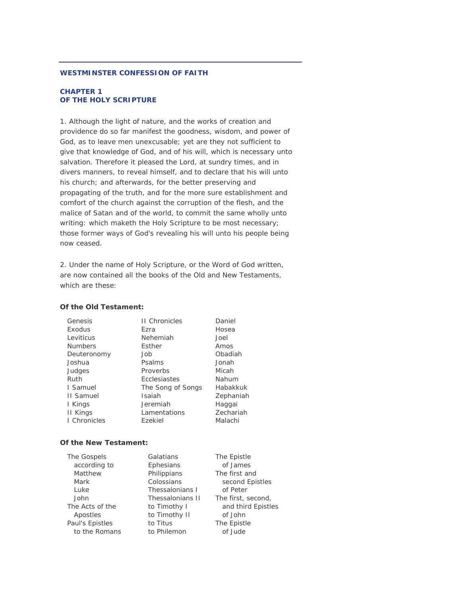# **WESTMINSTER CONFESSION OF FAITH**

## **CHAPTER 1**  *OF THE HOLY SCRIPTURE*

1. Although the light of nature, and the works of creation and providence do so far manifest the goodness, wisdom, and power of God, as to leave men unexcusable; yet are they not sufficient to give that knowledge of God, and of his will, which is necessary unto salvation. Therefore it pleased the Lord, at sundry times, and in divers manners, to reveal himself, and to declare that his will unto his church; and afterwards, for the better preserving and propagating of the truth, and for the more sure establishment and comfort of the church against the corruption of the flesh, and the malice of Satan and of the world, to commit the same wholly unto writing: which maketh the Holy Scripture to be most necessary; those former ways of God's revealing his will unto his people being now ceased.

2. Under the name of Holy Scripture, or the Word of God written, are now contained all the books of the Old and New Testaments, which are these:

| Genesis         | <b>II</b> Chronicles | Daniel    |
|-----------------|----------------------|-----------|
| Exodus          | Ezra                 | Hosea     |
| Leviticus       | Nehemiah             | Joel      |
| <b>Numbers</b>  | Esther               | Amos      |
| Deuteronomy     | Job                  | Obadiah   |
| Joshua          | Psalms               | Jonah     |
| Judges          | Proverbs             | Micah     |
| Ruth            | Ecclesiastes         | Nahum     |
| I Samuel        | The Song of Songs    | Habakkuk  |
| II Samuel       | Isaiah               | Zephaniah |
| I Kings         | Jeremiah             | Haggai    |
| <b>II Kings</b> | Lamentations         | Zechariah |
| I Chronicles    | Ezekiel              | Malachi   |

# **Of the Old Testament:**

### **Of the New Testament:**

| The Gospels     | Galatians        | The Epistle        |
|-----------------|------------------|--------------------|
| according to    | Ephesians        | of James           |
| Matthew         | Philippians      | The first and      |
| Mark            | Colossians       | second Epistles    |
| Luke            | Thessalonians I  | of Peter           |
| John            | Thessalonians II | The first, second, |
| The Acts of the | to Timothy I     | and third Epistles |
| Apostles        | to Timothy II    | of John            |
| Paul's Epistles | to Titus         | The Epistle        |
| to the Romans   | to Philemon      | of Jude            |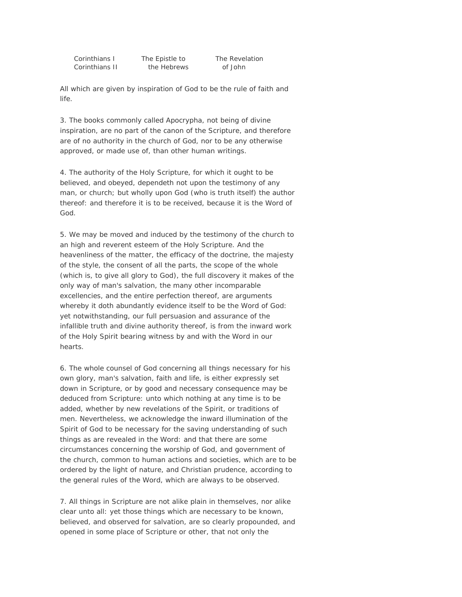Corinthians I The Epistle to The Revelation Corinthians II the Hebrews of John

All which are given by inspiration of God to be the rule of faith and life.

3. The books commonly called Apocrypha, not being of divine inspiration, are no part of the canon of the Scripture, and therefore are of no authority in the church of God, nor to be any otherwise approved, or made use of, than other human writings.

4. The authority of the Holy Scripture, for which it ought to be believed, and obeyed, dependeth not upon the testimony of any man, or church; but wholly upon God (who is truth itself) the author thereof: and therefore it is to be received, because it is the Word of God.

5. We may be moved and induced by the testimony of the church to an high and reverent esteem of the Holy Scripture. And the heavenliness of the matter, the efficacy of the doctrine, the majesty of the style, the consent of all the parts, the scope of the whole (which is, to give all glory to God), the full discovery it makes of the only way of man's salvation, the many other incomparable excellencies, and the entire perfection thereof, are arguments whereby it doth abundantly evidence itself to be the Word of God: yet notwithstanding, our full persuasion and assurance of the infallible truth and divine authority thereof, is from the inward work of the Holy Spirit bearing witness by and with the Word in our hearts.

6. The whole counsel of God concerning all things necessary for his own glory, man's salvation, faith and life, is either expressly set down in Scripture, or by good and necessary consequence may be deduced from Scripture: unto which nothing at any time is to be added, whether by new revelations of the Spirit, or traditions of men. Nevertheless, we acknowledge the inward illumination of the Spirit of God to be necessary for the saving understanding of such things as are revealed in the Word: and that there are some circumstances concerning the worship of God, and government of the church, common to human actions and societies, which are to be ordered by the light of nature, and Christian prudence, according to the general rules of the Word, which are always to be observed.

7. All things in Scripture are not alike plain in themselves, nor alike clear unto all: yet those things which are necessary to be known, believed, and observed for salvation, are so clearly propounded, and opened in some place of Scripture or other, that not only the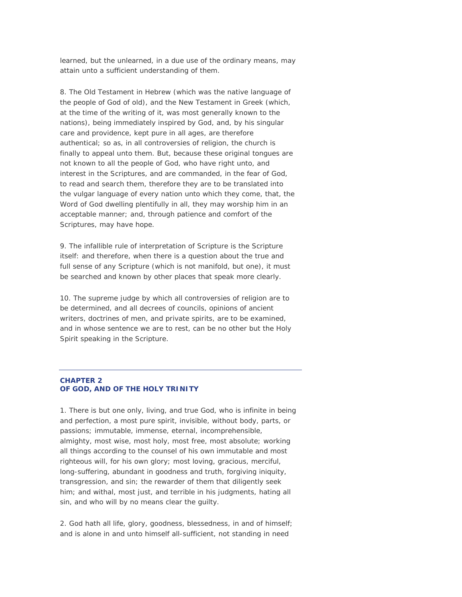learned, but the unlearned, in a due use of the ordinary means, may attain unto a sufficient understanding of them.

8. The Old Testament in Hebrew (which was the native language of the people of God of old), and the New Testament in Greek (which, at the time of the writing of it, was most generally known to the nations), being immediately inspired by God, and, by his singular care and providence, kept pure in all ages, are therefore authentical; so as, in all controversies of religion, the church is finally to appeal unto them. But, because these original tongues are not known to all the people of God, who have right unto, and interest in the Scriptures, and are commanded, in the fear of God, to read and search them, therefore they are to be translated into the vulgar language of every nation unto which they come, that, the Word of God dwelling plentifully in all, they may worship him in an acceptable manner; and, through patience and comfort of the Scriptures, may have hope.

9. The infallible rule of interpretation of Scripture is the Scripture itself: and therefore, when there is a question about the true and full sense of any Scripture (which is not manifold, but one), it must be searched and known by other places that speak more clearly.

10. The supreme judge by which all controversies of religion are to be determined, and all decrees of councils, opinions of ancient writers, doctrines of men, and private spirits, are to be examined, and in whose sentence we are to rest, can be no other but the Holy Spirit speaking in the Scripture.

## **CHAPTER 2**  *OF GOD, AND OF THE HOLY TRINITY*

1. There is but one only, living, and true God, who is infinite in being and perfection, a most pure spirit, invisible, without body, parts, or passions; immutable, immense, eternal, incomprehensible, almighty, most wise, most holy, most free, most absolute; working all things according to the counsel of his own immutable and most righteous will, for his own glory; most loving, gracious, merciful, long-suffering, abundant in goodness and truth, forgiving iniquity, transgression, and sin; the rewarder of them that diligently seek him; and withal, most just, and terrible in his judgments, hating all sin, and who will by no means clear the guilty.

2. God hath all life, glory, goodness, blessedness, in and of himself; and is alone in and unto himself all-sufficient, not standing in need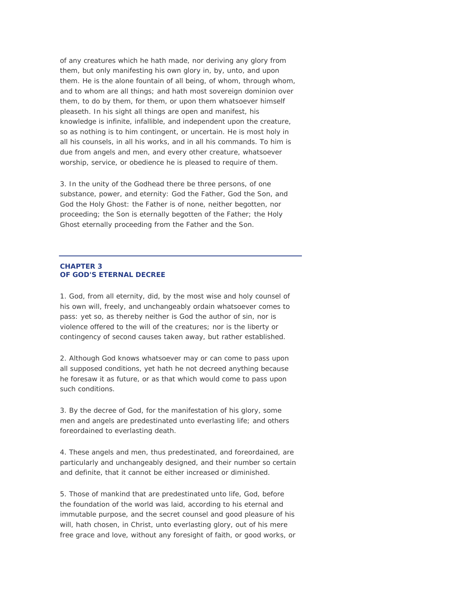of any creatures which he hath made, nor deriving any glory from them, but only manifesting his own glory in, by, unto, and upon them. He is the alone fountain of all being, of whom, through whom, and to whom are all things; and hath most sovereign dominion over them, to do by them, for them, or upon them whatsoever himself pleaseth. In his sight all things are open and manifest, his knowledge is infinite, infallible, and independent upon the creature, so as nothing is to him contingent, or uncertain. He is most holy in all his counsels, in all his works, and in all his commands. To him is due from angels and men, and every other creature, whatsoever worship, service, or obedience he is pleased to require of them.

3. In the unity of the Godhead there be three persons, of one substance, power, and eternity: God the Father, God the Son, and God the Holy Ghost: the Father is of none, neither begotten, nor proceeding; the Son is eternally begotten of the Father; the Holy Ghost eternally proceeding from the Father and the Son.

#### **CHAPTER 3**  *OF GOD'S ETERNAL DECREE*

1. God, from all eternity, did, by the most wise and holy counsel of his own will, freely, and unchangeably ordain whatsoever comes to pass: yet so, as thereby neither is God the author of sin, nor is violence offered to the will of the creatures; nor is the liberty or contingency of second causes taken away, but rather established.

2. Although God knows whatsoever may or can come to pass upon all supposed conditions, yet hath he not decreed anything because he foresaw it as future, or as that which would come to pass upon such conditions.

3. By the decree of God, for the manifestation of his glory, some men and angels are predestinated unto everlasting life; and others foreordained to everlasting death.

4. These angels and men, thus predestinated, and foreordained, are particularly and unchangeably designed, and their number so certain and definite, that it cannot be either increased or diminished.

5. Those of mankind that are predestinated unto life, God, before the foundation of the world was laid, according to his eternal and immutable purpose, and the secret counsel and good pleasure of his will, hath chosen, in Christ, unto everlasting glory, out of his mere free grace and love, without any foresight of faith, or good works, or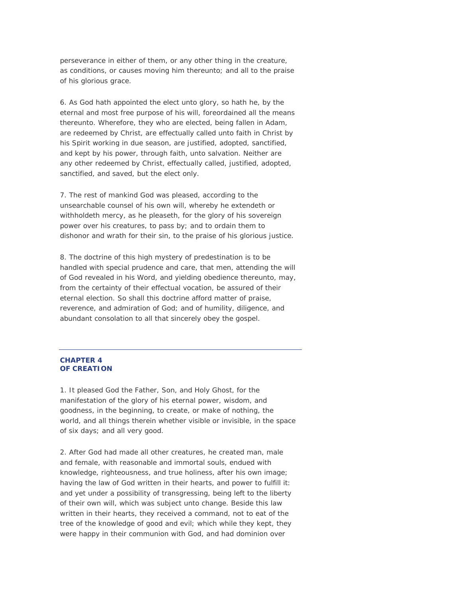perseverance in either of them, or any other thing in the creature, as conditions, or causes moving him thereunto; and all to the praise of his glorious grace.

6. As God hath appointed the elect unto glory, so hath he, by the eternal and most free purpose of his will, foreordained all the means thereunto. Wherefore, they who are elected, being fallen in Adam, are redeemed by Christ, are effectually called unto faith in Christ by his Spirit working in due season, are justified, adopted, sanctified, and kept by his power, through faith, unto salvation. Neither are any other redeemed by Christ, effectually called, justified, adopted, sanctified, and saved, but the elect only.

7. The rest of mankind God was pleased, according to the unsearchable counsel of his own will, whereby he extendeth or withholdeth mercy, as he pleaseth, for the glory of his sovereign power over his creatures, to pass by; and to ordain them to dishonor and wrath for their sin, to the praise of his glorious justice.

8. The doctrine of this high mystery of predestination is to be handled with special prudence and care, that men, attending the will of God revealed in his Word, and yielding obedience thereunto, may, from the certainty of their effectual vocation, be assured of their eternal election. So shall this doctrine afford matter of praise, reverence, and admiration of God; and of humility, diligence, and abundant consolation to all that sincerely obey the gospel.

### **CHAPTER 4**  *OF CREATION*

1. It pleased God the Father, Son, and Holy Ghost, for the manifestation of the glory of his eternal power, wisdom, and goodness, in the beginning, to create, or make of nothing, the world, and all things therein whether visible or invisible, in the space of six days; and all very good.

2. After God had made all other creatures, he created man, male and female, with reasonable and immortal souls, endued with knowledge, righteousness, and true holiness, after his own image; having the law of God written in their hearts, and power to fulfill it: and yet under a possibility of transgressing, being left to the liberty of their own will, which was subject unto change. Beside this law written in their hearts, they received a command, not to eat of the tree of the knowledge of good and evil; which while they kept, they were happy in their communion with God, and had dominion over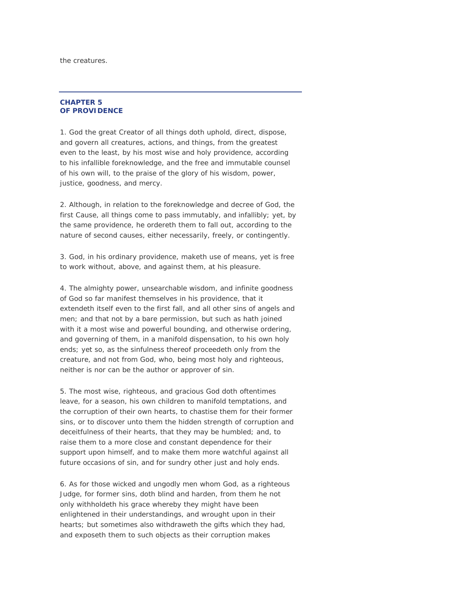the creatures.

### **CHAPTER 5**  *OF PROVIDENCE*

1. God the great Creator of all things doth uphold, direct, dispose, and govern all creatures, actions, and things, from the greatest even to the least, by his most wise and holy providence, according to his infallible foreknowledge, and the free and immutable counsel of his own will, to the praise of the glory of his wisdom, power, justice, goodness, and mercy.

2. Although, in relation to the foreknowledge and decree of God, the first Cause, all things come to pass immutably, and infallibly; yet, by the same providence, he ordereth them to fall out, according to the nature of second causes, either necessarily, freely, or contingently.

3. God, in his ordinary providence, maketh use of means, yet is free to work without, above, and against them, at his pleasure.

4. The almighty power, unsearchable wisdom, and infinite goodness of God so far manifest themselves in his providence, that it extendeth itself even to the first fall, and all other sins of angels and men; and that not by a bare permission, but such as hath joined with it a most wise and powerful bounding, and otherwise ordering, and governing of them, in a manifold dispensation, to his own holy ends; yet so, as the sinfulness thereof proceedeth only from the creature, and not from God, who, being most holy and righteous, neither is nor can be the author or approver of sin.

5. The most wise, righteous, and gracious God doth oftentimes leave, for a season, his own children to manifold temptations, and the corruption of their own hearts, to chastise them for their former sins, or to discover unto them the hidden strength of corruption and deceitfulness of their hearts, that they may be humbled; and, to raise them to a more close and constant dependence for their support upon himself, and to make them more watchful against all future occasions of sin, and for sundry other just and holy ends.

6. As for those wicked and ungodly men whom God, as a righteous Judge, for former sins, doth blind and harden, from them he not only withholdeth his grace whereby they might have been enlightened in their understandings, and wrought upon in their hearts; but sometimes also withdraweth the gifts which they had, and exposeth them to such objects as their corruption makes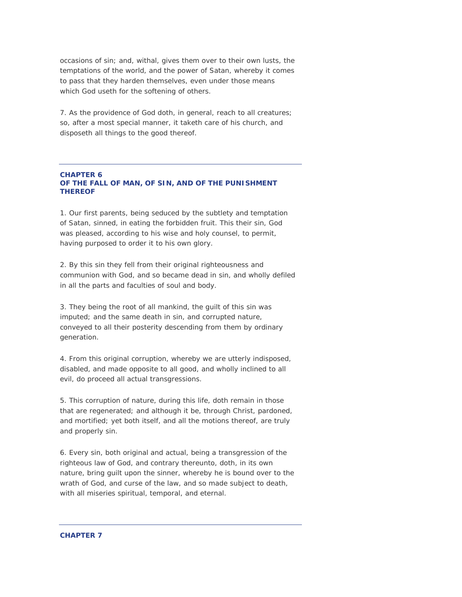occasions of sin; and, withal, gives them over to their own lusts, the temptations of the world, and the power of Satan, whereby it comes to pass that they harden themselves, even under those means which God useth for the softening of others.

7. As the providence of God doth, in general, reach to all creatures; so, after a most special manner, it taketh care of his church, and disposeth all things to the good thereof.

## **CHAPTER 6**  *OF THE FALL OF MAN, OF SIN, AND OF THE PUNISHMENT THEREOF*

1. Our first parents, being seduced by the subtlety and temptation of Satan, sinned, in eating the forbidden fruit. This their sin, God was pleased, according to his wise and holy counsel, to permit, having purposed to order it to his own glory.

2. By this sin they fell from their original righteousness and communion with God, and so became dead in sin, and wholly defiled in all the parts and faculties of soul and body.

3. They being the root of all mankind, the guilt of this sin was imputed; and the same death in sin, and corrupted nature, conveyed to all their posterity descending from them by ordinary generation.

4. From this original corruption, whereby we are utterly indisposed, disabled, and made opposite to all good, and wholly inclined to all evil, do proceed all actual transgressions.

5. This corruption of nature, during this life, doth remain in those that are regenerated; and although it be, through Christ, pardoned, and mortified; yet both itself, and all the motions thereof, are truly and properly sin.

6. Every sin, both original and actual, being a transgression of the righteous law of God, and contrary thereunto, doth, in its own nature, bring guilt upon the sinner, whereby he is bound over to the wrath of God, and curse of the law, and so made subject to death, with all miseries spiritual, temporal, and eternal.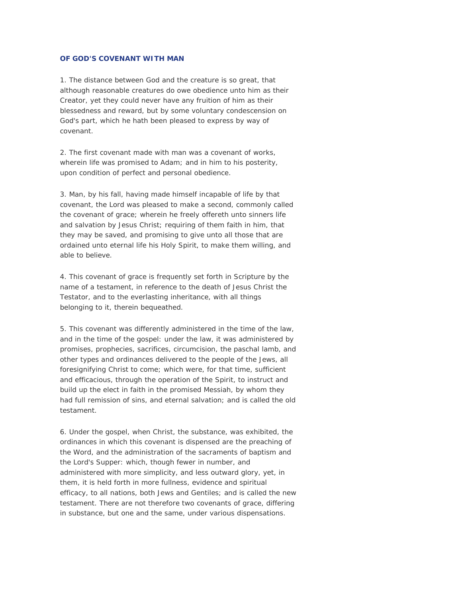# *OF GOD'S COVENANT WITH MAN*

1. The distance between God and the creature is so great, that although reasonable creatures do owe obedience unto him as their Creator, yet they could never have any fruition of him as their blessedness and reward, but by some voluntary condescension on God's part, which he hath been pleased to express by way of covenant.

2. The first covenant made with man was a covenant of works, wherein life was promised to Adam; and in him to his posterity, upon condition of perfect and personal obedience.

3. Man, by his fall, having made himself incapable of life by that covenant, the Lord was pleased to make a second, commonly called the covenant of grace; wherein he freely offereth unto sinners life and salvation by Jesus Christ; requiring of them faith in him, that they may be saved, and promising to give unto all those that are ordained unto eternal life his Holy Spirit, to make them willing, and able to believe.

4. This covenant of grace is frequently set forth in Scripture by the name of a testament, in reference to the death of Jesus Christ the Testator, and to the everlasting inheritance, with all things belonging to it, therein bequeathed.

5. This covenant was differently administered in the time of the law, and in the time of the gospel: under the law, it was administered by promises, prophecies, sacrifices, circumcision, the paschal lamb, and other types and ordinances delivered to the people of the Jews, all foresignifying Christ to come; which were, for that time, sufficient and efficacious, through the operation of the Spirit, to instruct and build up the elect in faith in the promised Messiah, by whom they had full remission of sins, and eternal salvation; and is called the old testament.

6. Under the gospel, when Christ, the substance, was exhibited, the ordinances in which this covenant is dispensed are the preaching of the Word, and the administration of the sacraments of baptism and the Lord's Supper: which, though fewer in number, and administered with more simplicity, and less outward glory, yet, in them, it is held forth in more fullness, evidence and spiritual efficacy, to all nations, both Jews and Gentiles; and is called the new testament. There are not therefore two covenants of grace, differing in substance, but one and the same, under various dispensations.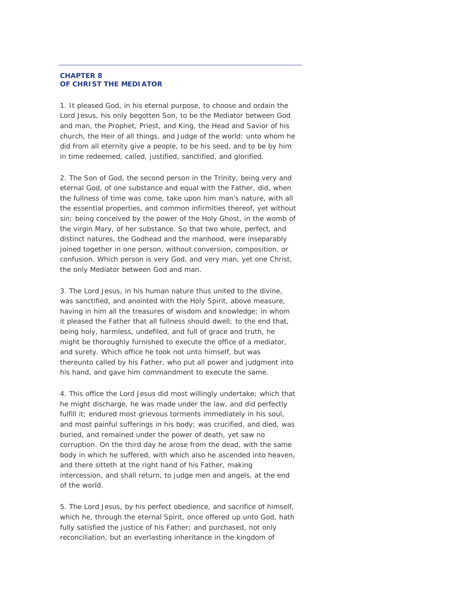### **CHAPTER 8**  *OF CHRIST THE MEDIATOR*

1. It pleased God, in his eternal purpose, to choose and ordain the Lord Jesus, his only begotten Son, to be the Mediator between God and man, the Prophet, Priest, and King, the Head and Savior of his church, the Heir of all things, and Judge of the world: unto whom he did from all eternity give a people, to be his seed, and to be by him in time redeemed, called, justified, sanctified, and glorified.

2. The Son of God, the second person in the Trinity, being very and eternal God, of one substance and equal with the Father, did, when the fullness of time was come, take upon him man's nature, with all the essential properties, and common infirmities thereof, yet without sin; being conceived by the power of the Holy Ghost, in the womb of the virgin Mary, of her substance. So that two whole, perfect, and distinct natures, the Godhead and the manhood, were inseparably joined together in one person, without conversion, composition, or confusion. Which person is very God, and very man, yet one Christ, the only Mediator between God and man.

3. The Lord Jesus, in his human nature thus united to the divine, was sanctified, and anointed with the Holy Spirit, above measure, having in him all the treasures of wisdom and knowledge; in whom it pleased the Father that all fullness should dwell; to the end that, being holy, harmless, undefiled, and full of grace and truth, he might be thoroughly furnished to execute the office of a mediator, and surety. Which office he took not unto himself, but was thereunto called by his Father, who put all power and judgment into his hand, and gave him commandment to execute the same.

4. This office the Lord Jesus did most willingly undertake; which that he might discharge, he was made under the law, and did perfectly fulfill it; endured most grievous torments immediately in his soul, and most painful sufferings in his body; was crucified, and died, was buried, and remained under the power of death, yet saw no corruption. On the third day he arose from the dead, with the same body in which he suffered, with which also he ascended into heaven, and there sitteth at the right hand of his Father, making intercession, and shall return, to judge men and angels, at the end of the world.

5. The Lord Jesus, by his perfect obedience, and sacrifice of himself, which he, through the eternal Spirit, once offered up unto God, hath fully satisfied the justice of his Father; and purchased, not only reconciliation, but an everlasting inheritance in the kingdom of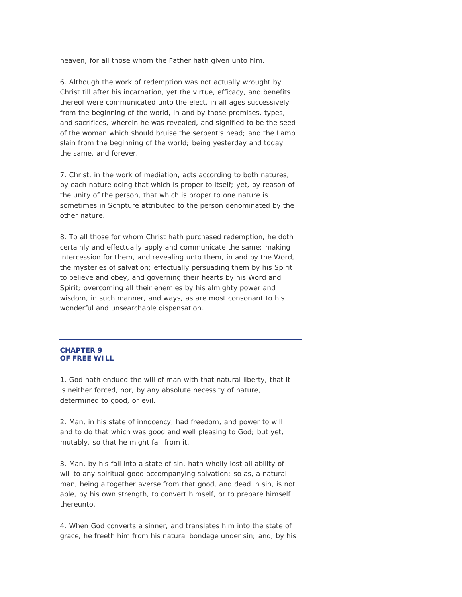heaven, for all those whom the Father hath given unto him.

6. Although the work of redemption was not actually wrought by Christ till after his incarnation, yet the virtue, efficacy, and benefits thereof were communicated unto the elect, in all ages successively from the beginning of the world, in and by those promises, types, and sacrifices, wherein he was revealed, and signified to be the seed of the woman which should bruise the serpent's head; and the Lamb slain from the beginning of the world; being yesterday and today the same, and forever.

7. Christ, in the work of mediation, acts according to both natures, by each nature doing that which is proper to itself; yet, by reason of the unity of the person, that which is proper to one nature is sometimes in Scripture attributed to the person denominated by the other nature.

8. To all those for whom Christ hath purchased redemption, he doth certainly and effectually apply and communicate the same; making intercession for them, and revealing unto them, in and by the Word, the mysteries of salvation; effectually persuading them by his Spirit to believe and obey, and governing their hearts by his Word and Spirit; overcoming all their enemies by his almighty power and wisdom, in such manner, and ways, as are most consonant to his wonderful and unsearchable dispensation.

#### **CHAPTER 9**  *OF FREE WILL*

1. God hath endued the will of man with that natural liberty, that it is neither forced, nor, by any absolute necessity of nature, determined to good, or evil.

2. Man, in his state of innocency, had freedom, and power to will and to do that which was good and well pleasing to God; but yet, mutably, so that he might fall from it.

3. Man, by his fall into a state of sin, hath wholly lost all ability of will to any spiritual good accompanying salvation: so as, a natural man, being altogether averse from that good, and dead in sin, is not able, by his own strength, to convert himself, or to prepare himself thereunto.

4. When God converts a sinner, and translates him into the state of grace, he freeth him from his natural bondage under sin; and, by his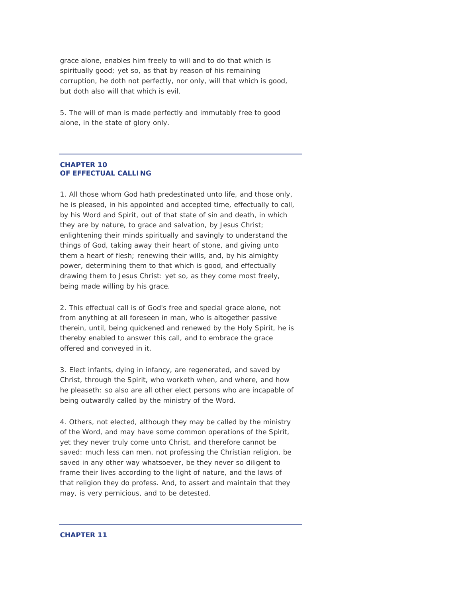grace alone, enables him freely to will and to do that which is spiritually good; yet so, as that by reason of his remaining corruption, he doth not perfectly, nor only, will that which is good, but doth also will that which is evil.

5. The will of man is made perfectly and immutably free to good alone, in the state of glory only.

# **CHAPTER 10**  *OF EFFECTUAL CALLING*

1. All those whom God hath predestinated unto life, and those only, he is pleased, in his appointed and accepted time, effectually to call, by his Word and Spirit, out of that state of sin and death, in which they are by nature, to grace and salvation, by Jesus Christ; enlightening their minds spiritually and savingly to understand the things of God, taking away their heart of stone, and giving unto them a heart of flesh; renewing their wills, and, by his almighty power, determining them to that which is good, and effectually drawing them to Jesus Christ: yet so, as they come most freely, being made willing by his grace.

2. This effectual call is of God's free and special grace alone, not from anything at all foreseen in man, who is altogether passive therein, until, being quickened and renewed by the Holy Spirit, he is thereby enabled to answer this call, and to embrace the grace offered and conveyed in it.

3. Elect infants, dying in infancy, are regenerated, and saved by Christ, through the Spirit, who worketh when, and where, and how he pleaseth: so also are all other elect persons who are incapable of being outwardly called by the ministry of the Word.

4. Others, not elected, although they may be called by the ministry of the Word, and may have some common operations of the Spirit, yet they never truly come unto Christ, and therefore cannot be saved: much less can men, not professing the Christian religion, be saved in any other way whatsoever, be they never so diligent to frame their lives according to the light of nature, and the laws of that religion they do profess. And, to assert and maintain that they may, is very pernicious, and to be detested.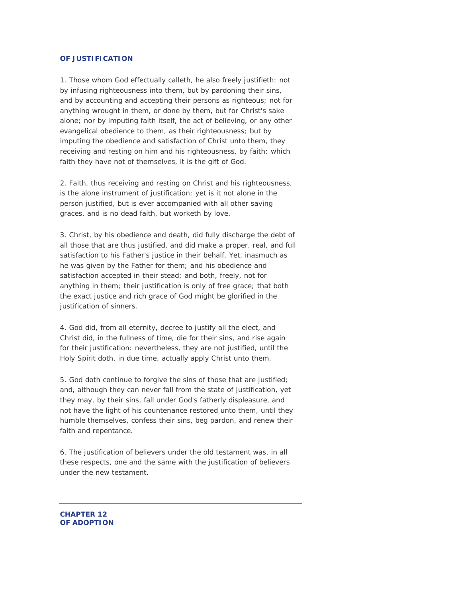# *OF JUSTIFICATION*

1. Those whom God effectually calleth, he also freely justifieth: not by infusing righteousness into them, but by pardoning their sins, and by accounting and accepting their persons as righteous; not for anything wrought in them, or done by them, but for Christ's sake alone; nor by imputing faith itself, the act of believing, or any other evangelical obedience to them, as their righteousness; but by imputing the obedience and satisfaction of Christ unto them, they receiving and resting on him and his righteousness, by faith; which faith they have not of themselves, it is the gift of God.

2. Faith, thus receiving and resting on Christ and his righteousness, is the alone instrument of justification: yet is it not alone in the person justified, but is ever accompanied with all other saving graces, and is no dead faith, but worketh by love.

3. Christ, by his obedience and death, did fully discharge the debt of all those that are thus justified, and did make a proper, real, and full satisfaction to his Father's justice in their behalf. Yet, inasmuch as he was given by the Father for them; and his obedience and satisfaction accepted in their stead; and both, freely, not for anything in them; their justification is only of free grace; that both the exact justice and rich grace of God might be glorified in the justification of sinners.

4. God did, from all eternity, decree to justify all the elect, and Christ did, in the fullness of time, die for their sins, and rise again for their justification: nevertheless, they are not justified, until the Holy Spirit doth, in due time, actually apply Christ unto them.

5. God doth continue to forgive the sins of those that are justified; and, although they can never fall from the state of justification, yet they may, by their sins, fall under God's fatherly displeasure, and not have the light of his countenance restored unto them, until they humble themselves, confess their sins, beg pardon, and renew their faith and repentance.

6. The justification of believers under the old testament was, in all these respects, one and the same with the justification of believers under the new testament.

**CHAPTER 12**  *OF ADOPTION*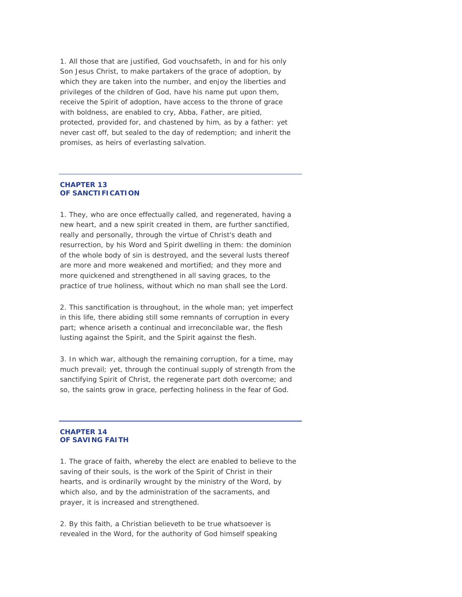1. All those that are justified, God vouchsafeth, in and for his only Son Jesus Christ, to make partakers of the grace of adoption, by which they are taken into the number, and enjoy the liberties and privileges of the children of God, have his name put upon them, receive the Spirit of adoption, have access to the throne of grace with boldness, are enabled to cry, Abba, Father, are pitied, protected, provided for, and chastened by him, as by a father: yet never cast off, but sealed to the day of redemption; and inherit the promises, as heirs of everlasting salvation.

### **CHAPTER 13**  *OF SANCTIFICATION*

1. They, who are once effectually called, and regenerated, having a new heart, and a new spirit created in them, are further sanctified, really and personally, through the virtue of Christ's death and resurrection, by his Word and Spirit dwelling in them: the dominion of the whole body of sin is destroyed, and the several lusts thereof are more and more weakened and mortified; and they more and more quickened and strengthened in all saving graces, to the practice of true holiness, without which no man shall see the Lord.

2. This sanctification is throughout, in the whole man; yet imperfect in this life, there abiding still some remnants of corruption in every part; whence ariseth a continual and irreconcilable war, the flesh lusting against the Spirit, and the Spirit against the flesh.

3. In which war, although the remaining corruption, for a time, may much prevail; yet, through the continual supply of strength from the sanctifying Spirit of Christ, the regenerate part doth overcome; and so, the saints grow in grace, perfecting holiness in the fear of God.

#### **CHAPTER 14**  *OF SAVING FAITH*

1. The grace of faith, whereby the elect are enabled to believe to the saving of their souls, is the work of the Spirit of Christ in their hearts, and is ordinarily wrought by the ministry of the Word, by which also, and by the administration of the sacraments, and prayer, it is increased and strengthened.

2. By this faith, a Christian believeth to be true whatsoever is revealed in the Word, for the authority of God himself speaking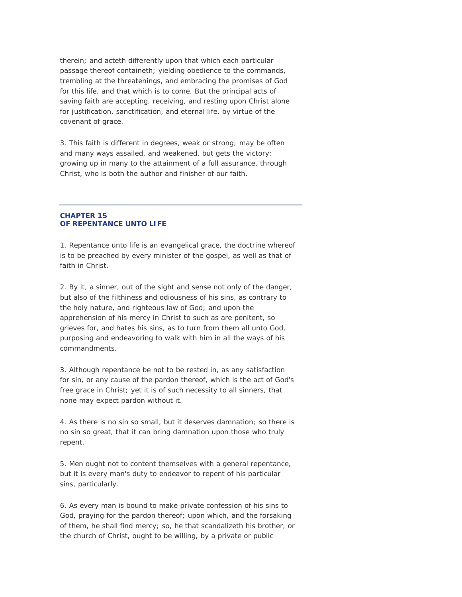therein; and acteth differently upon that which each particular passage thereof containeth; yielding obedience to the commands, trembling at the threatenings, and embracing the promises of God for this life, and that which is to come. But the principal acts of saving faith are accepting, receiving, and resting upon Christ alone for justification, sanctification, and eternal life, by virtue of the covenant of grace.

3. This faith is different in degrees, weak or strong; may be often and many ways assailed, and weakened, but gets the victory: growing up in many to the attainment of a full assurance, through Christ, who is both the author and finisher of our faith.

# **CHAPTER 15**  *OF REPENTANCE UNTO LIFE*

1. Repentance unto life is an evangelical grace, the doctrine whereof is to be preached by every minister of the gospel, as well as that of faith in Christ.

2. By it, a sinner, out of the sight and sense not only of the danger, but also of the filthiness and odiousness of his sins, as contrary to the holy nature, and righteous law of God; and upon the apprehension of his mercy in Christ to such as are penitent, so grieves for, and hates his sins, as to turn from them all unto God, purposing and endeavoring to walk with him in all the ways of his commandments.

3. Although repentance be not to be rested in, as any satisfaction for sin, or any cause of the pardon thereof, which is the act of God's free grace in Christ; yet it is of such necessity to all sinners, that none may expect pardon without it.

4. As there is no sin so small, but it deserves damnation; so there is no sin so great, that it can bring damnation upon those who truly repent.

5. Men ought not to content themselves with a general repentance, but it is every man's duty to endeavor to repent of his particular sins, particularly.

6. As every man is bound to make private confession of his sins to God, praying for the pardon thereof; upon which, and the forsaking of them, he shall find mercy; so, he that scandalizeth his brother, or the church of Christ, ought to be willing, by a private or public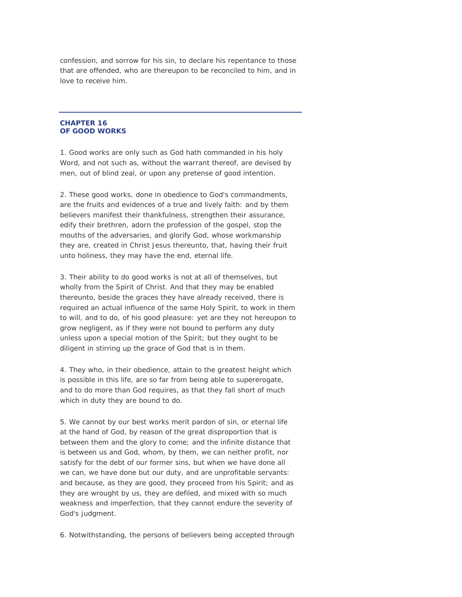confession, and sorrow for his sin, to declare his repentance to those that are offended, who are thereupon to be reconciled to him, and in love to receive him.

#### **CHAPTER 16**  *OF GOOD WORKS*

1. Good works are only such as God hath commanded in his holy Word, and not such as, without the warrant thereof, are devised by men, out of blind zeal, or upon any pretense of good intention.

2. These good works, done in obedience to God's commandments, are the fruits and evidences of a true and lively faith: and by them believers manifest their thankfulness, strengthen their assurance, edify their brethren, adorn the profession of the gospel, stop the mouths of the adversaries, and glorify God, whose workmanship they are, created in Christ Jesus thereunto, that, having their fruit unto holiness, they may have the end, eternal life.

3. Their ability to do good works is not at all of themselves, but wholly from the Spirit of Christ. And that they may be enabled thereunto, beside the graces they have already received, there is required an actual influence of the same Holy Spirit, to work in them to will, and to do, of his good pleasure: yet are they not hereupon to grow negligent, as if they were not bound to perform any duty unless upon a special motion of the Spirit; but they ought to be diligent in stirring up the grace of God that is in them.

4. They who, in their obedience, attain to the greatest height which is possible in this life, are so far from being able to supererogate, and to do more than God requires, as that they fall short of much which in duty they are bound to do.

5. We cannot by our best works merit pardon of sin, or eternal life at the hand of God, by reason of the great disproportion that is between them and the glory to come; and the infinite distance that is between us and God, whom, by them, we can neither profit, nor satisfy for the debt of our former sins, but when we have done all we can, we have done but our duty, and are unprofitable servants: and because, as they are good, they proceed from his Spirit; and as they are wrought by us, they are defiled, and mixed with so much weakness and imperfection, that they cannot endure the severity of God's judgment.

6. Notwithstanding, the persons of believers being accepted through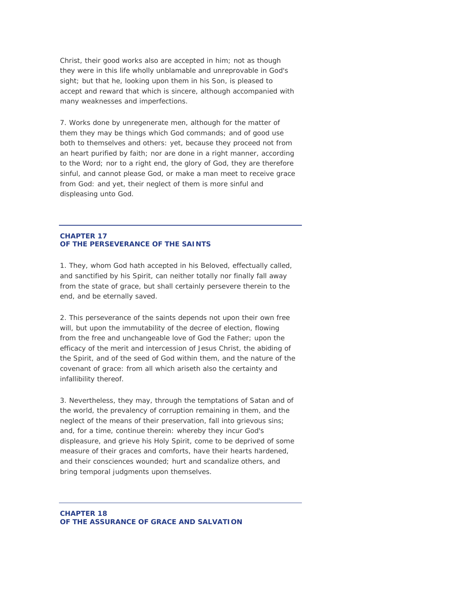Christ, their good works also are accepted in him; not as though they were in this life wholly unblamable and unreprovable in God's sight; but that he, looking upon them in his Son, is pleased to accept and reward that which is sincere, although accompanied with many weaknesses and imperfections.

7. Works done by unregenerate men, although for the matter of them they may be things which God commands; and of good use both to themselves and others: yet, because they proceed not from an heart purified by faith; nor are done in a right manner, according to the Word; nor to a right end, the glory of God, they are therefore sinful, and cannot please God, or make a man meet to receive grace from God: and yet, their neglect of them is more sinful and displeasing unto God.

# **CHAPTER 17**  *OF THE PERSEVERANCE OF THE SAINTS*

1. They, whom God hath accepted in his Beloved, effectually called, and sanctified by his Spirit, can neither totally nor finally fall away from the state of grace, but shall certainly persevere therein to the end, and be eternally saved.

2. This perseverance of the saints depends not upon their own free will, but upon the immutability of the decree of election, flowing from the free and unchangeable love of God the Father; upon the efficacy of the merit and intercession of Jesus Christ, the abiding of the Spirit, and of the seed of God within them, and the nature of the covenant of grace: from all which ariseth also the certainty and infallibility thereof.

3. Nevertheless, they may, through the temptations of Satan and of the world, the prevalency of corruption remaining in them, and the neglect of the means of their preservation, fall into grievous sins; and, for a time, continue therein: whereby they incur God's displeasure, and grieve his Holy Spirit, come to be deprived of some measure of their graces and comforts, have their hearts hardened, and their consciences wounded; hurt and scandalize others, and bring temporal judgments upon themselves.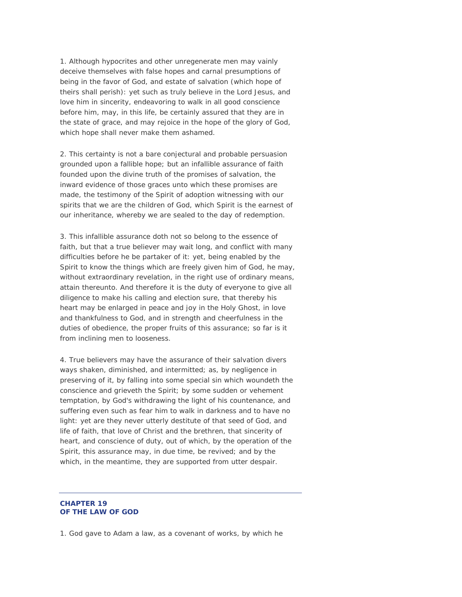1. Although hypocrites and other unregenerate men may vainly deceive themselves with false hopes and carnal presumptions of being in the favor of God, and estate of salvation (which hope of theirs shall perish): yet such as truly believe in the Lord Jesus, and love him in sincerity, endeavoring to walk in all good conscience before him, may, in this life, be certainly assured that they are in the state of grace, and may rejoice in the hope of the glory of God, which hope shall never make them ashamed.

2. This certainty is not a bare conjectural and probable persuasion grounded upon a fallible hope; but an infallible assurance of faith founded upon the divine truth of the promises of salvation, the inward evidence of those graces unto which these promises are made, the testimony of the Spirit of adoption witnessing with our spirits that we are the children of God, which Spirit is the earnest of our inheritance, whereby we are sealed to the day of redemption.

3. This infallible assurance doth not so belong to the essence of faith, but that a true believer may wait long, and conflict with many difficulties before he be partaker of it: yet, being enabled by the Spirit to know the things which are freely given him of God, he may, without extraordinary revelation, in the right use of ordinary means, attain thereunto. And therefore it is the duty of everyone to give all diligence to make his calling and election sure, that thereby his heart may be enlarged in peace and joy in the Holy Ghost, in love and thankfulness to God, and in strength and cheerfulness in the duties of obedience, the proper fruits of this assurance; so far is it from inclining men to looseness.

4. True believers may have the assurance of their salvation divers ways shaken, diminished, and intermitted; as, by negligence in preserving of it, by falling into some special sin which woundeth the conscience and grieveth the Spirit; by some sudden or vehement temptation, by God's withdrawing the light of his countenance, and suffering even such as fear him to walk in darkness and to have no light: yet are they never utterly destitute of that seed of God, and life of faith, that love of Christ and the brethren, that sincerity of heart, and conscience of duty, out of which, by the operation of the Spirit, this assurance may, in due time, be revived; and by the which, in the meantime, they are supported from utter despair.

### **CHAPTER 19**  *OF THE LAW OF GOD*

1. God gave to Adam a law, as a covenant of works, by which he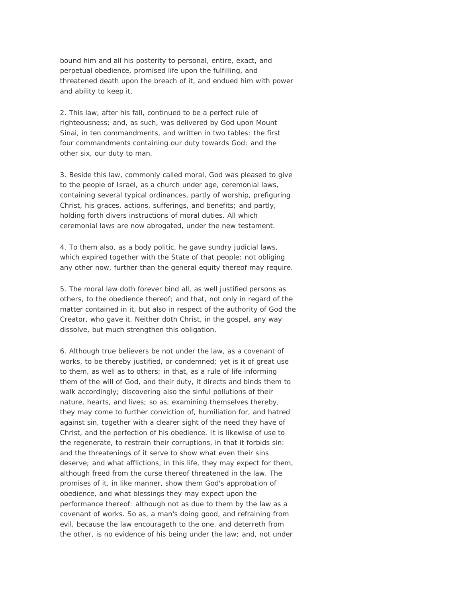bound him and all his posterity to personal, entire, exact, and perpetual obedience, promised life upon the fulfilling, and threatened death upon the breach of it, and endued him with power and ability to keep it.

2. This law, after his fall, continued to be a perfect rule of righteousness; and, as such, was delivered by God upon Mount Sinai, in ten commandments, and written in two tables: the first four commandments containing our duty towards God; and the other six, our duty to man.

3. Beside this law, commonly called moral, God was pleased to give to the people of Israel, as a church under age, ceremonial laws, containing several typical ordinances, partly of worship, prefiguring Christ, his graces, actions, sufferings, and benefits; and partly, holding forth divers instructions of moral duties. All which ceremonial laws are now abrogated, under the new testament.

4. To them also, as a body politic, he gave sundry judicial laws, which expired together with the State of that people; not obliging any other now, further than the general equity thereof may require.

5. The moral law doth forever bind all, as well justified persons as others, to the obedience thereof; and that, not only in regard of the matter contained in it, but also in respect of the authority of God the Creator, who gave it. Neither doth Christ, in the gospel, any way dissolve, but much strengthen this obligation.

6. Although true believers be not under the law, as a covenant of works, to be thereby justified, or condemned; yet is it of great use to them, as well as to others; in that, as a rule of life informing them of the will of God, and their duty, it directs and binds them to walk accordingly; discovering also the sinful pollutions of their nature, hearts, and lives; so as, examining themselves thereby, they may come to further conviction of, humiliation for, and hatred against sin, together with a clearer sight of the need they have of Christ, and the perfection of his obedience. It is likewise of use to the regenerate, to restrain their corruptions, in that it forbids sin: and the threatenings of it serve to show what even their sins deserve; and what afflictions, in this life, they may expect for them, although freed from the curse thereof threatened in the law. The promises of it, in like manner, show them God's approbation of obedience, and what blessings they may expect upon the performance thereof: although not as due to them by the law as a covenant of works. So as, a man's doing good, and refraining from evil, because the law encourageth to the one, and deterreth from the other, is no evidence of his being under the law; and, not under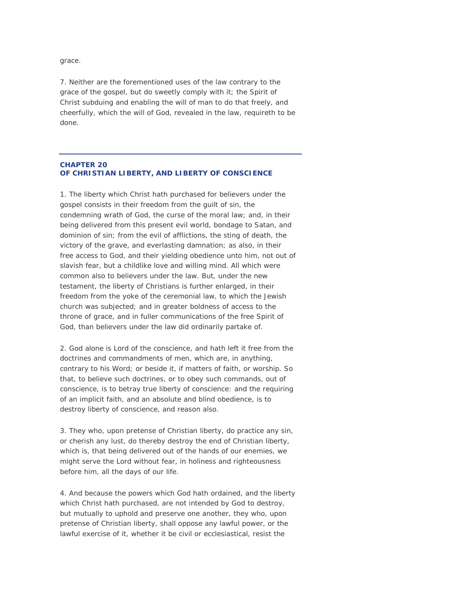grace.

7. Neither are the forementioned uses of the law contrary to the grace of the gospel, but do sweetly comply with it; the Spirit of Christ subduing and enabling the will of man to do that freely, and cheerfully, which the will of God, revealed in the law, requireth to be done.

# **CHAPTER 20**  *OF CHRISTIAN LIBERTY, AND LIBERTY OF CONSCIENCE*

1. The liberty which Christ hath purchased for believers under the gospel consists in their freedom from the guilt of sin, the condemning wrath of God, the curse of the moral law; and, in their being delivered from this present evil world, bondage to Satan, and dominion of sin; from the evil of afflictions, the sting of death, the victory of the grave, and everlasting damnation; as also, in their free access to God, and their yielding obedience unto him, not out of slavish fear, but a childlike love and willing mind. All which were common also to believers under the law. But, under the new testament, the liberty of Christians is further enlarged, in their freedom from the yoke of the ceremonial law, to which the Jewish church was subjected; and in greater boldness of access to the throne of grace, and in fuller communications of the free Spirit of God, than believers under the law did ordinarily partake of.

2. God alone is Lord of the conscience, and hath left it free from the doctrines and commandments of men, which are, in anything, contrary to his Word; or beside it, if matters of faith, or worship. So that, to believe such doctrines, or to obey such commands, out of conscience, is to betray true liberty of conscience: and the requiring of an implicit faith, and an absolute and blind obedience, is to destroy liberty of conscience, and reason also.

3. They who, upon pretense of Christian liberty, do practice any sin, or cherish any lust, do thereby destroy the end of Christian liberty, which is, that being delivered out of the hands of our enemies, we might serve the Lord without fear, in holiness and righteousness before him, all the days of our life.

4. And because the powers which God hath ordained, and the liberty which Christ hath purchased, are not intended by God to destroy, but mutually to uphold and preserve one another, they who, upon pretense of Christian liberty, shall oppose any lawful power, or the lawful exercise of it, whether it be civil or ecclesiastical, resist the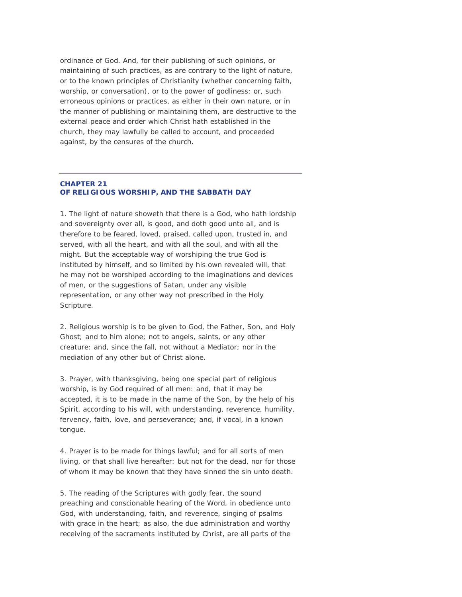ordinance of God. And, for their publishing of such opinions, or maintaining of such practices, as are contrary to the light of nature, or to the known principles of Christianity (whether concerning faith, worship, or conversation), or to the power of godliness; or, such erroneous opinions or practices, as either in their own nature, or in the manner of publishing or maintaining them, are destructive to the external peace and order which Christ hath established in the church, they may lawfully be called to account, and proceeded against, by the censures of the church.

# **CHAPTER 21**  *OF RELIGIOUS WORSHIP, AND THE SABBATH DAY*

1. The light of nature showeth that there is a God, who hath lordship and sovereignty over all, is good, and doth good unto all, and is therefore to be feared, loved, praised, called upon, trusted in, and served, with all the heart, and with all the soul, and with all the might. But the acceptable way of worshiping the true God is instituted by himself, and so limited by his own revealed will, that he may not be worshiped according to the imaginations and devices of men, or the suggestions of Satan, under any visible representation, or any other way not prescribed in the Holy Scripture.

2. Religious worship is to be given to God, the Father, Son, and Holy Ghost; and to him alone; not to angels, saints, or any other creature: and, since the fall, not without a Mediator; nor in the mediation of any other but of Christ alone.

3. Prayer, with thanksgiving, being one special part of religious worship, is by God required of all men: and, that it may be accepted, it is to be made in the name of the Son, by the help of his Spirit, according to his will, with understanding, reverence, humility, fervency, faith, love, and perseverance; and, if vocal, in a known tongue.

4. Prayer is to be made for things lawful; and for all sorts of men living, or that shall live hereafter: but not for the dead, nor for those of whom it may be known that they have sinned the sin unto death.

5. The reading of the Scriptures with godly fear, the sound preaching and conscionable hearing of the Word, in obedience unto God, with understanding, faith, and reverence, singing of psalms with grace in the heart; as also, the due administration and worthy receiving of the sacraments instituted by Christ, are all parts of the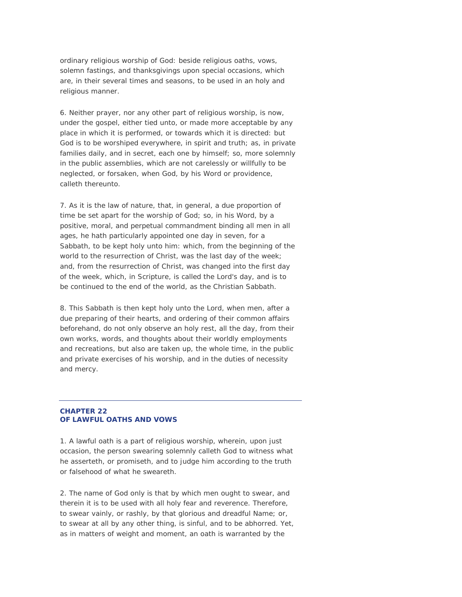ordinary religious worship of God: beside religious oaths, vows, solemn fastings, and thanksgivings upon special occasions, which are, in their several times and seasons, to be used in an holy and religious manner.

6. Neither prayer, nor any other part of religious worship, is now, under the gospel, either tied unto, or made more acceptable by any place in which it is performed, or towards which it is directed: but God is to be worshiped everywhere, in spirit and truth; as, in private families daily, and in secret, each one by himself; so, more solemnly in the public assemblies, which are not carelessly or willfully to be neglected, or forsaken, when God, by his Word or providence, calleth thereunto.

7. As it is the law of nature, that, in general, a due proportion of time be set apart for the worship of God; so, in his Word, by a positive, moral, and perpetual commandment binding all men in all ages, he hath particularly appointed one day in seven, for a Sabbath, to be kept holy unto him: which, from the beginning of the world to the resurrection of Christ, was the last day of the week; and, from the resurrection of Christ, was changed into the first day of the week, which, in Scripture, is called the Lord's day, and is to be continued to the end of the world, as the Christian Sabbath.

8. This Sabbath is then kept holy unto the Lord, when men, after a due preparing of their hearts, and ordering of their common affairs beforehand, do not only observe an holy rest, all the day, from their own works, words, and thoughts about their worldly employments and recreations, but also are taken up, the whole time, in the public and private exercises of his worship, and in the duties of necessity and mercy.

### **CHAPTER 22**  *OF LAWFUL OATHS AND VOWS*

1. A lawful oath is a part of religious worship, wherein, upon just occasion, the person swearing solemnly calleth God to witness what he asserteth, or promiseth, and to judge him according to the truth or falsehood of what he sweareth.

2. The name of God only is that by which men ought to swear, and therein it is to be used with all holy fear and reverence. Therefore, to swear vainly, or rashly, by that glorious and dreadful Name; or, to swear at all by any other thing, is sinful, and to be abhorred. Yet, as in matters of weight and moment, an oath is warranted by the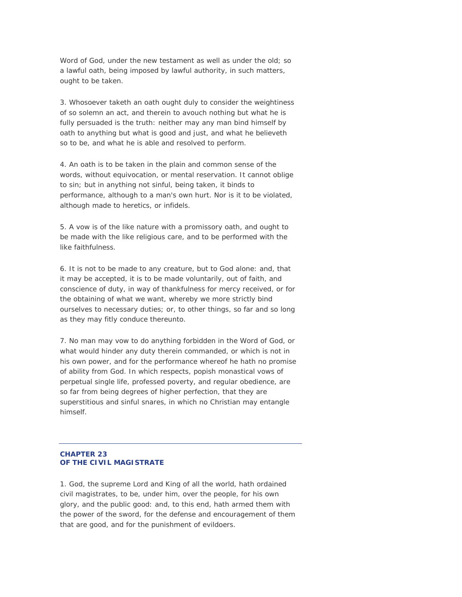Word of God, under the new testament as well as under the old; so a lawful oath, being imposed by lawful authority, in such matters, ought to be taken.

3. Whosoever taketh an oath ought duly to consider the weightiness of so solemn an act, and therein to avouch nothing but what he is fully persuaded is the truth: neither may any man bind himself by oath to anything but what is good and just, and what he believeth so to be, and what he is able and resolved to perform.

4. An oath is to be taken in the plain and common sense of the words, without equivocation, or mental reservation. It cannot oblige to sin; but in anything not sinful, being taken, it binds to performance, although to a man's own hurt. Nor is it to be violated, although made to heretics, or infidels.

5. A vow is of the like nature with a promissory oath, and ought to be made with the like religious care, and to be performed with the like faithfulness.

6. It is not to be made to any creature, but to God alone: and, that it may be accepted, it is to be made voluntarily, out of faith, and conscience of duty, in way of thankfulness for mercy received, or for the obtaining of what we want, whereby we more strictly bind ourselves to necessary duties; or, to other things, so far and so long as they may fitly conduce thereunto.

7. No man may vow to do anything forbidden in the Word of God, or what would hinder any duty therein commanded, or which is not in his own power, and for the performance whereof he hath no promise of ability from God. In which respects, popish monastical vows of perpetual single life, professed poverty, and regular obedience, are so far from being degrees of higher perfection, that they are superstitious and sinful snares, in which no Christian may entangle himself.

### **CHAPTER 23**  *OF THE CIVIL MAGISTRATE*

1. God, the supreme Lord and King of all the world, hath ordained civil magistrates, to be, under him, over the people, for his own glory, and the public good: and, to this end, hath armed them with the power of the sword, for the defense and encouragement of them that are good, and for the punishment of evildoers.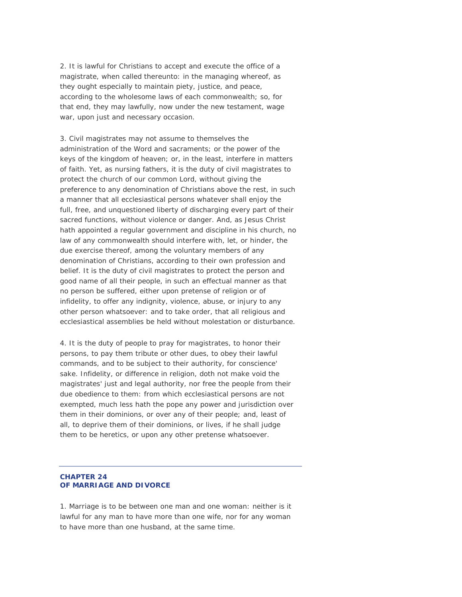2. It is lawful for Christians to accept and execute the office of a magistrate, when called thereunto: in the managing whereof, as they ought especially to maintain piety, justice, and peace, according to the wholesome laws of each commonwealth; so, for that end, they may lawfully, now under the new testament, wage war, upon just and necessary occasion.

3. Civil magistrates may not assume to themselves the administration of the Word and sacraments; or the power of the keys of the kingdom of heaven; or, in the least, interfere in matters of faith. Yet, as nursing fathers, it is the duty of civil magistrates to protect the church of our common Lord, without giving the preference to any denomination of Christians above the rest, in such a manner that all ecclesiastical persons whatever shall enjoy the full, free, and unquestioned liberty of discharging every part of their sacred functions, without violence or danger. And, as Jesus Christ hath appointed a regular government and discipline in his church, no law of any commonwealth should interfere with, let, or hinder, the due exercise thereof, among the voluntary members of any denomination of Christians, according to their own profession and belief. It is the duty of civil magistrates to protect the person and good name of all their people, in such an effectual manner as that no person be suffered, either upon pretense of religion or of infidelity, to offer any indignity, violence, abuse, or injury to any other person whatsoever: and to take order, that all religious and ecclesiastical assemblies be held without molestation or disturbance.

4. It is the duty of people to pray for magistrates, to honor their persons, to pay them tribute or other dues, to obey their lawful commands, and to be subject to their authority, for conscience' sake. Infidelity, or difference in religion, doth not make void the magistrates' just and legal authority, nor free the people from their due obedience to them: from which ecclesiastical persons are not exempted, much less hath the pope any power and jurisdiction over them in their dominions, or over any of their people; and, least of all, to deprive them of their dominions, or lives, if he shall judge them to be heretics, or upon any other pretense whatsoever.

# **CHAPTER 24**  *OF MARRIAGE AND DIVORCE*

1. Marriage is to be between one man and one woman: neither is it lawful for any man to have more than one wife, nor for any woman to have more than one husband, at the same time.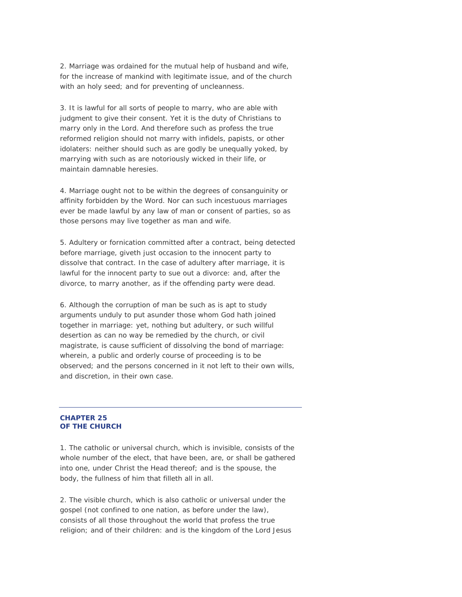2. Marriage was ordained for the mutual help of husband and wife, for the increase of mankind with legitimate issue, and of the church with an holy seed; and for preventing of uncleanness.

3. It is lawful for all sorts of people to marry, who are able with judgment to give their consent. Yet it is the duty of Christians to marry only in the Lord. And therefore such as profess the true reformed religion should not marry with infidels, papists, or other idolaters: neither should such as are godly be unequally yoked, by marrying with such as are notoriously wicked in their life, or maintain damnable heresies.

4. Marriage ought not to be within the degrees of consanguinity or affinity forbidden by the Word. Nor can such incestuous marriages ever be made lawful by any law of man or consent of parties, so as those persons may live together as man and wife.

5. Adultery or fornication committed after a contract, being detected before marriage, giveth just occasion to the innocent party to dissolve that contract. In the case of adultery after marriage, it is lawful for the innocent party to sue out a divorce: and, after the divorce, to marry another, as if the offending party were dead.

6. Although the corruption of man be such as is apt to study arguments unduly to put asunder those whom God hath joined together in marriage: yet, nothing but adultery, or such willful desertion as can no way be remedied by the church, or civil magistrate, is cause sufficient of dissolving the bond of marriage: wherein, a public and orderly course of proceeding is to be observed; and the persons concerned in it not left to their own wills, and discretion, in their own case.

## **CHAPTER 25**  *OF THE CHURCH*

1. The catholic or universal church, which is invisible, consists of the whole number of the elect, that have been, are, or shall be gathered into one, under Christ the Head thereof; and is the spouse, the body, the fullness of him that filleth all in all.

2. The visible church, which is also catholic or universal under the gospel (not confined to one nation, as before under the law), consists of all those throughout the world that profess the true religion; and of their children: and is the kingdom of the Lord Jesus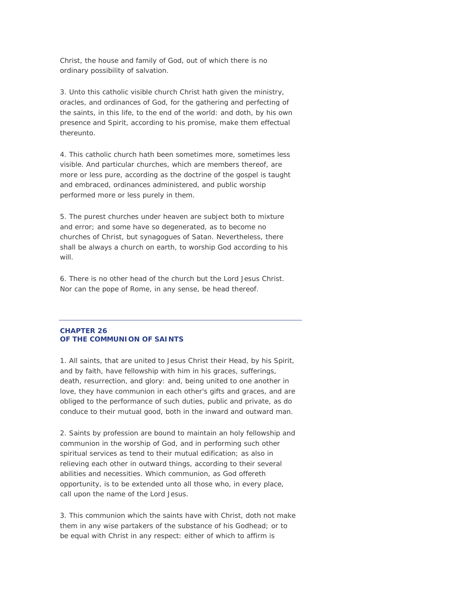Christ, the house and family of God, out of which there is no ordinary possibility of salvation.

3. Unto this catholic visible church Christ hath given the ministry, oracles, and ordinances of God, for the gathering and perfecting of the saints, in this life, to the end of the world: and doth, by his own presence and Spirit, according to his promise, make them effectual thereunto.

4. This catholic church hath been sometimes more, sometimes less visible. And particular churches, which are members thereof, are more or less pure, according as the doctrine of the gospel is taught and embraced, ordinances administered, and public worship performed more or less purely in them.

5. The purest churches under heaven are subject both to mixture and error; and some have so degenerated, as to become no churches of Christ, but synagogues of Satan. Nevertheless, there shall be always a church on earth, to worship God according to his will.

6. There is no other head of the church but the Lord Jesus Christ. Nor can the pope of Rome, in any sense, be head thereof.

## **CHAPTER 26**  *OF THE COMMUNION OF SAINTS*

1. All saints, that are united to Jesus Christ their Head, by his Spirit, and by faith, have fellowship with him in his graces, sufferings, death, resurrection, and glory: and, being united to one another in love, they have communion in each other's gifts and graces, and are obliged to the performance of such duties, public and private, as do conduce to their mutual good, both in the inward and outward man.

2. Saints by profession are bound to maintain an holy fellowship and communion in the worship of God, and in performing such other spiritual services as tend to their mutual edification; as also in relieving each other in outward things, according to their several abilities and necessities. Which communion, as God offereth opportunity, is to be extended unto all those who, in every place, call upon the name of the Lord Jesus.

3. This communion which the saints have with Christ, doth not make them in any wise partakers of the substance of his Godhead; or to be equal with Christ in any respect: either of which to affirm is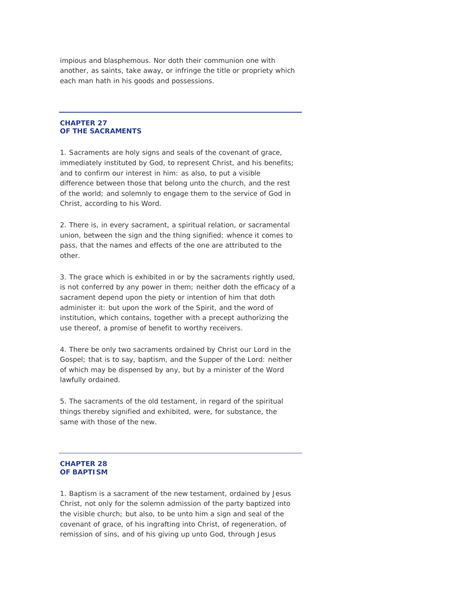impious and blasphemous. Nor doth their communion one with another, as saints, take away, or infringe the title or propriety which each man hath in his goods and possessions.

#### **CHAPTER 27**  *OF THE SACRAMENTS*

1. Sacraments are holy signs and seals of the covenant of grace, immediately instituted by God, to represent Christ, and his benefits; and to confirm our interest in him: as also, to put a visible difference between those that belong unto the church, and the rest of the world; and solemnly to engage them to the service of God in Christ, according to his Word.

2. There is, in every sacrament, a spiritual relation, or sacramental union, between the sign and the thing signified: whence it comes to pass, that the names and effects of the one are attributed to the other.

3. The grace which is exhibited in or by the sacraments rightly used, is not conferred by any power in them; neither doth the efficacy of a sacrament depend upon the piety or intention of him that doth administer it: but upon the work of the Spirit, and the word of institution, which contains, together with a precept authorizing the use thereof, a promise of benefit to worthy receivers.

4. There be only two sacraments ordained by Christ our Lord in the Gospel; that is to say, baptism, and the Supper of the Lord: neither of which may be dispensed by any, but by a minister of the Word lawfully ordained.

5. The sacraments of the old testament, in regard of the spiritual things thereby signified and exhibited, were, for substance, the same with those of the new.

# **CHAPTER 28**  *OF BAPTISM*

1. Baptism is a sacrament of the new testament, ordained by Jesus Christ, not only for the solemn admission of the party baptized into the visible church; but also, to be unto him a sign and seal of the covenant of grace, of his ingrafting into Christ, of regeneration, of remission of sins, and of his giving up unto God, through Jesus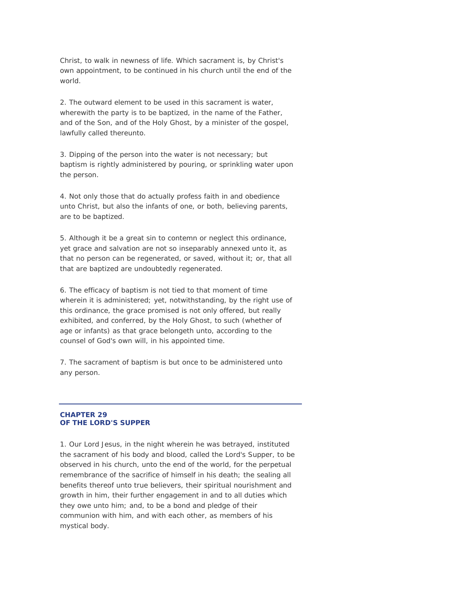Christ, to walk in newness of life. Which sacrament is, by Christ's own appointment, to be continued in his church until the end of the world.

2. The outward element to be used in this sacrament is water, wherewith the party is to be baptized, in the name of the Father, and of the Son, and of the Holy Ghost, by a minister of the gospel, lawfully called thereunto.

3. Dipping of the person into the water is not necessary; but baptism is rightly administered by pouring, or sprinkling water upon the person.

4. Not only those that do actually profess faith in and obedience unto Christ, but also the infants of one, or both, believing parents, are to be baptized.

5. Although it be a great sin to contemn or neglect this ordinance, yet grace and salvation are not so inseparably annexed unto it, as that no person can be regenerated, or saved, without it; or, that all that are baptized are undoubtedly regenerated.

6. The efficacy of baptism is not tied to that moment of time wherein it is administered; yet, notwithstanding, by the right use of this ordinance, the grace promised is not only offered, but really exhibited, and conferred, by the Holy Ghost, to such (whether of age or infants) as that grace belongeth unto, according to the counsel of God's own will, in his appointed time.

7. The sacrament of baptism is but once to be administered unto any person.

# **CHAPTER 29**  *OF THE LORD'S SUPPER*

1. Our Lord Jesus, in the night wherein he was betrayed, instituted the sacrament of his body and blood, called the Lord's Supper, to be observed in his church, unto the end of the world, for the perpetual remembrance of the sacrifice of himself in his death; the sealing all benefits thereof unto true believers, their spiritual nourishment and growth in him, their further engagement in and to all duties which they owe unto him; and, to be a bond and pledge of their communion with him, and with each other, as members of his mystical body.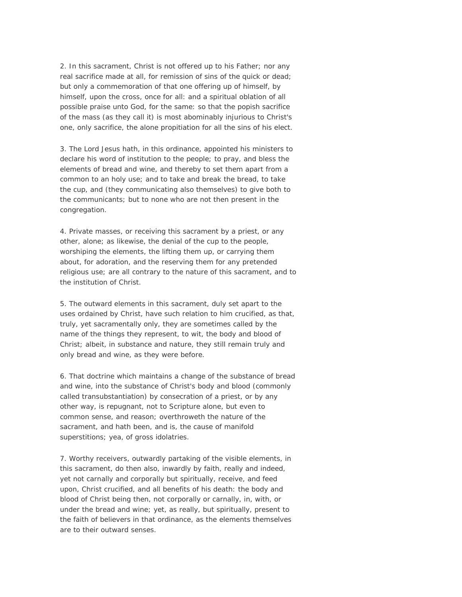2. In this sacrament, Christ is not offered up to his Father; nor any real sacrifice made at all, for remission of sins of the quick or dead; but only a commemoration of that one offering up of himself, by himself, upon the cross, once for all: and a spiritual oblation of all possible praise unto God, for the same: so that the popish sacrifice of the mass (as they call it) is most abominably injurious to Christ's one, only sacrifice, the alone propitiation for all the sins of his elect.

3. The Lord Jesus hath, in this ordinance, appointed his ministers to declare his word of institution to the people; to pray, and bless the elements of bread and wine, and thereby to set them apart from a common to an holy use; and to take and break the bread, to take the cup, and (they communicating also themselves) to give both to the communicants; but to none who are not then present in the congregation.

4. Private masses, or receiving this sacrament by a priest, or any other, alone; as likewise, the denial of the cup to the people, worshiping the elements, the lifting them up, or carrying them about, for adoration, and the reserving them for any pretended religious use; are all contrary to the nature of this sacrament, and to the institution of Christ.

5. The outward elements in this sacrament, duly set apart to the uses ordained by Christ, have such relation to him crucified, as that, truly, yet sacramentally only, they are sometimes called by the name of the things they represent, to wit, the body and blood of Christ; albeit, in substance and nature, they still remain truly and only bread and wine, as they were before.

6. That doctrine which maintains a change of the substance of bread and wine, into the substance of Christ's body and blood (commonly called transubstantiation) by consecration of a priest, or by any other way, is repugnant, not to Scripture alone, but even to common sense, and reason; overthroweth the nature of the sacrament, and hath been, and is, the cause of manifold superstitions; yea, of gross idolatries.

7. Worthy receivers, outwardly partaking of the visible elements, in this sacrament, do then also, inwardly by faith, really and indeed, yet not carnally and corporally but spiritually, receive, and feed upon, Christ crucified, and all benefits of his death: the body and blood of Christ being then, not corporally or carnally, in, with, or under the bread and wine; yet, as really, but spiritually, present to the faith of believers in that ordinance, as the elements themselves are to their outward senses.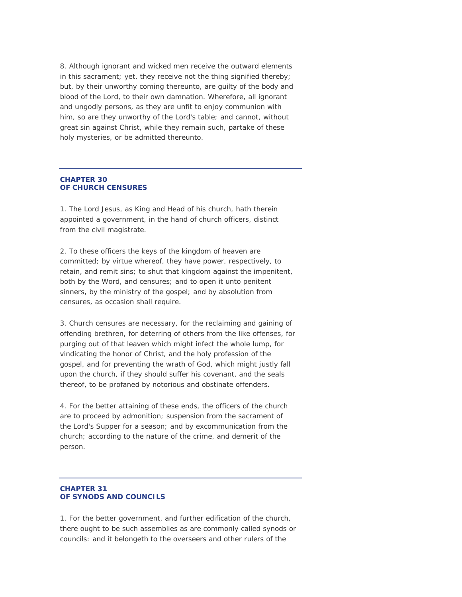8. Although ignorant and wicked men receive the outward elements in this sacrament; yet, they receive not the thing signified thereby; but, by their unworthy coming thereunto, are guilty of the body and blood of the Lord, to their own damnation. Wherefore, all ignorant and ungodly persons, as they are unfit to enjoy communion with him, so are they unworthy of the Lord's table; and cannot, without great sin against Christ, while they remain such, partake of these holy mysteries, or be admitted thereunto.

## **CHAPTER 30**  *OF CHURCH CENSURES*

1. The Lord Jesus, as King and Head of his church, hath therein appointed a government, in the hand of church officers, distinct from the civil magistrate.

2. To these officers the keys of the kingdom of heaven are committed; by virtue whereof, they have power, respectively, to retain, and remit sins; to shut that kingdom against the impenitent, both by the Word, and censures; and to open it unto penitent sinners, by the ministry of the gospel; and by absolution from censures, as occasion shall require.

3. Church censures are necessary, for the reclaiming and gaining of offending brethren, for deterring of others from the like offenses, for purging out of that leaven which might infect the whole lump, for vindicating the honor of Christ, and the holy profession of the gospel, and for preventing the wrath of God, which might justly fall upon the church, if they should suffer his covenant, and the seals thereof, to be profaned by notorious and obstinate offenders.

4. For the better attaining of these ends, the officers of the church are to proceed by admonition; suspension from the sacrament of the Lord's Supper for a season; and by excommunication from the church; according to the nature of the crime, and demerit of the person.

# **CHAPTER 31**  *OF SYNODS AND COUNCILS*

1. For the better government, and further edification of the church, there ought to be such assemblies as are commonly called synods or councils: and it belongeth to the overseers and other rulers of the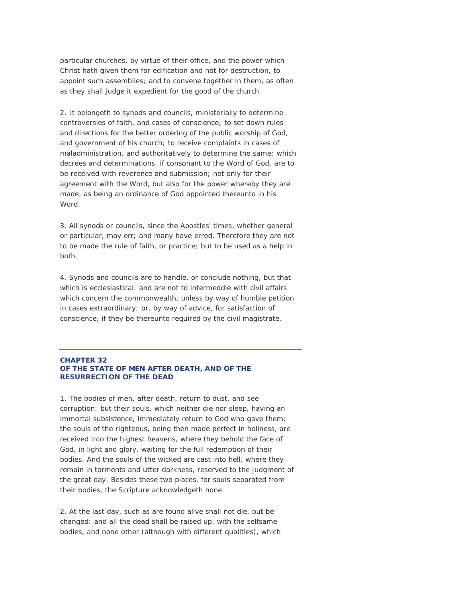particular churches, by virtue of their office, and the power which Christ hath given them for edification and not for destruction, to appoint such assemblies; and to convene together in them, as often as they shall judge it expedient for the good of the church.

2. It belongeth to synods and councils, ministerially to determine controversies of faith, and cases of conscience; to set down rules and directions for the better ordering of the public worship of God, and government of his church; to receive complaints in cases of maladministration, and authoritatively to determine the same: which decrees and determinations, if consonant to the Word of God, are to be received with reverence and submission; not only for their agreement with the Word, but also for the power whereby they are made, as being an ordinance of God appointed thereunto in his Word.

3. All synods or councils, since the Apostles' times, whether general or particular, may err; and many have erred. Therefore they are not to be made the rule of faith, or practice; but to be used as a help in both.

4. Synods and councils are to handle, or conclude nothing, but that which is ecclesiastical: and are not to intermeddle with civil affairs which concern the commonwealth, unless by way of humble petition in cases extraordinary; or, by way of advice, for satisfaction of conscience, if they be thereunto required by the civil magistrate.

### **CHAPTER 32**  *OF THE STATE OF MEN AFTER DEATH, AND OF THE RESURRECTION OF THE DEAD*

1. The bodies of men, after death, return to dust, and see corruption: but their souls, which neither die nor sleep, having an immortal subsistence, immediately return to God who gave them: the souls of the righteous, being then made perfect in holiness, are received into the highest heavens, where they behold the face of God, in light and glory, waiting for the full redemption of their bodies. And the souls of the wicked are cast into hell, where they remain in torments and utter darkness, reserved to the judgment of the great day. Besides these two places, for souls separated from their bodies, the Scripture acknowledgeth none.

2. At the last day, such as are found alive shall not die, but be changed: and all the dead shall be raised up, with the selfsame bodies, and none other (although with different qualities), which